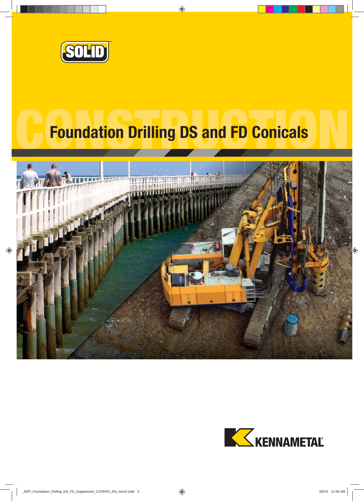

# **Foundation Drilling DS and FD Conicals**



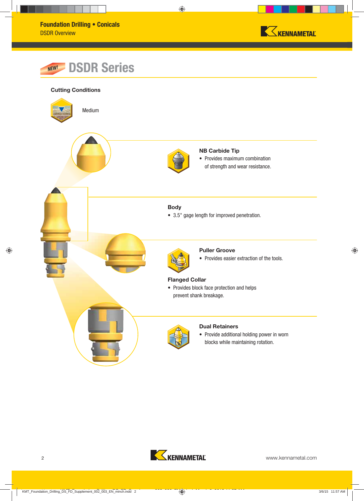





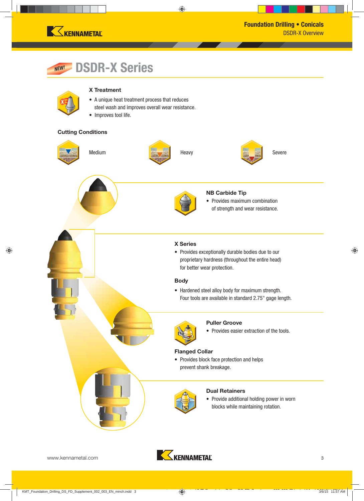

#### **DSDR-X Series** *NEW!*

#### **X Treatment**

- A unique heat treatment process that reduces steel wash and improves overall wear resistance.
- Improves tool life.

#### **Cutting Conditions**



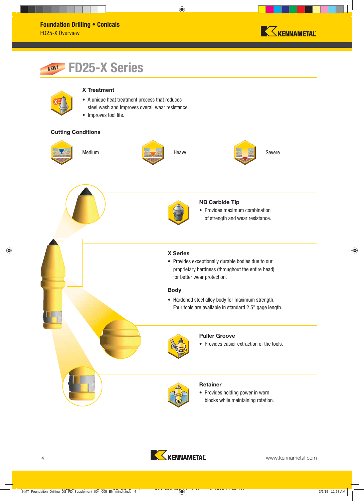

#### **FD25-X Series** *NEW!*



#### **X Treatment**

- A unique heat treatment process that reduces steel wash and improves overall wear resistance.
- Improves tool life.

#### **Cutting Conditions**









#### **X Series**

• Provides exceptionally durable bodies due to our proprietary hardness (throughout the entire head) for better wear protection.

**NB Carbide Tip**

• Provides maximum combination of strength and wear resistance.

#### **Body**

• Hardened steel alloy body for maximum strength. Four tools are available in standard 2.5" gage length.



#### **Puller Groove**

• Provides easier extraction of the tools.



#### **Retainer**

• Provides holding power in worn blocks while maintaining rotation.

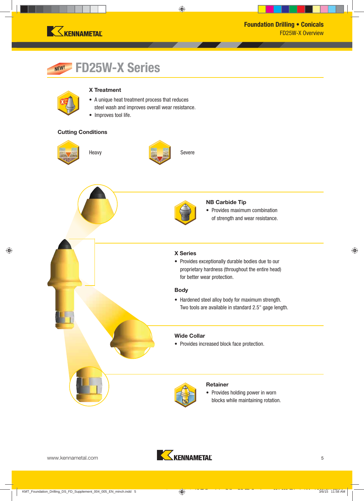

#### **FD25W-X Series** *NEW!*

#### **X Treatment**

- A unique heat treatment process that reduces steel wash and improves overall wear resistance.
- Improves tool life.

#### **Cutting Conditions**







#### **NB Carbide Tip**

• Provides maximum combination of strength and wear resistance.



• Provides exceptionally durable bodies due to our proprietary hardness (throughout the entire head) for better wear protection.

#### **Body**

• Hardened steel alloy body for maximum strength. Two tools are available in standard 2.5" gage length.

#### **Wide Collar**

• Provides increased block face protection.



#### **Retainer**

• Provides holding power in worn blocks while maintaining rotation.

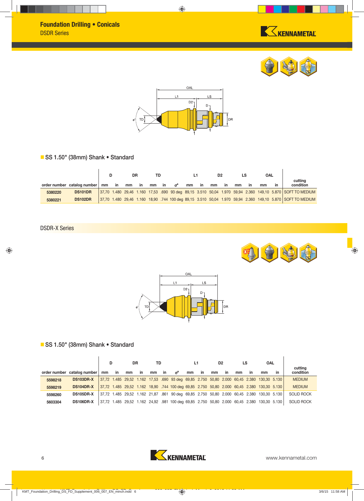





### **SS 1.50" (38mm) Shank • Standard**

|         |                             |    |    | DR |    | TD |    |          |    |    | D <sub>2</sub> |     |    |    | <b>OAL</b> |    |                                                                                                            |
|---------|-----------------------------|----|----|----|----|----|----|----------|----|----|----------------|-----|----|----|------------|----|------------------------------------------------------------------------------------------------------------|
|         | order number catalog number | mm | in | mm | in | mm | in | <b>്</b> | mm | ın | mm             | -in | mm | ın | mm         | in | cutting<br>condition                                                                                       |
| 5380220 | <b>DS101DR</b>              |    |    |    |    |    |    |          |    |    |                |     |    |    |            |    | 37,70 1.480 29,46 1.160 17,53 .690 93 deg 89,15 3.510 50,04 1.970 59,94 2.360 149,10 5.870 SOFT TO MEDIUM  |
| 5380221 | <b>DS102DR</b>              |    |    |    |    |    |    |          |    |    |                |     |    |    |            |    | 37,70 1.480 29,46 1.160 18,90 .744 100 deg 89,15 3.510 50,04 1.970 59,94 2.360 149,10 5.870 SOFT TO MEDIUM |

DSDR-X Series





### **SS 1.50" (38mm) Shank • Standard**

|         |                             |       |    | <b>DR</b> |    | TD |    |                                                                                             |    |    | D <sub>2</sub> |           | LS |           | OAL |    | cutting           |
|---------|-----------------------------|-------|----|-----------|----|----|----|---------------------------------------------------------------------------------------------|----|----|----------------|-----------|----|-----------|-----|----|-------------------|
|         | order number catalog number | mm    | in | mm        | in | mm | in | ം സ                                                                                         | mm | in | mm             | <b>in</b> | mm | <b>in</b> | mm  | in | condition         |
| 5598218 | DS103DR-X                   |       |    |           |    |    |    | 37,72 1.485 29,52 1.162 17,53 .690 93 deg 69,85 2.750 50,80 2.000 60,45 2.380 130,30 5.130  |    |    |                |           |    |           |     |    | <b>MEDIUM</b>     |
| 5598219 | DS104DR-X                   |       |    |           |    |    |    | 37,72 1.485 29,52 1.162 18,90 .744 100 deg 69,85 2.750 50,80 2.000 60,45 2.380 130,30 5.130 |    |    |                |           |    |           |     |    | <b>MEDIUM</b>     |
| 5598260 | <b>DS105DR-X</b>            |       |    |           |    |    |    | 37,72 1.485 29,52 1.162 21,87 .861 90 deg 69,85 2.750 50,80 2.000 60,45 2.380 130,30 5.130  |    |    |                |           |    |           |     |    | <b>SOLID ROCK</b> |
| 5603304 | DS106DR-X                   | 37.72 |    |           |    |    |    | 1.485 29,52 1.162 24,92 .981 100 deg 69,85 2.750 50,80 2.000 60,45 2.380 130,30 5.130       |    |    |                |           |    |           |     |    | <b>SOLID ROCK</b> |

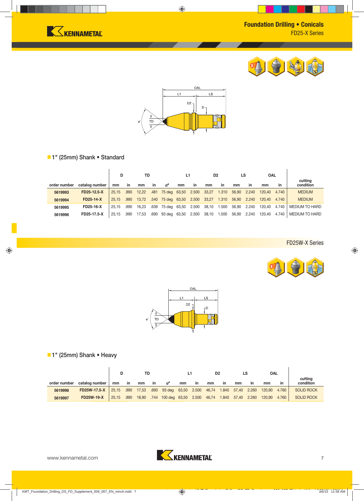





### **1" (25mm) Shank • Standard**

|              |                  | D     |           | TD    |    | L1                |       |       | D <sub>2</sub> |           | LS    |           | OAL    |           | cutting        |
|--------------|------------------|-------|-----------|-------|----|-------------------|-------|-------|----------------|-----------|-------|-----------|--------|-----------|----------------|
| order number | catalog number   | mm    | <i>in</i> | mm    | in | ∝                 | mm    | in    | mm             | <b>in</b> | mm    | <i>in</i> | mm     | <b>in</b> | condition      |
| 5619993      | FD25-12.5-X      | 25.15 | .990      | 12.22 |    | .481 75 deg 63,50 |       | 2.500 | 33,27          | 1.310     | 56.90 | 2.240     | 120.40 | 4.740     | <b>MEDIUM</b>  |
| 5619994      | <b>FD25-14-X</b> | 25.15 | .990      | 13.72 |    | .540 75 deg 63,50 |       | 2.500 | 33.27          | 1.310     | 56.90 | 2.240     | 120.40 | 4.740     | <b>MEDIUM</b>  |
| 5619995      | <b>FD25-16-X</b> | 25.15 | .990      | 16,23 |    | .639 75 deg       | 63,50 | 2.500 | 38,10          | 1.500     | 56,90 | 2.240     | 120.40 | 4.740     | MEDIUM TO HARD |
| 5619996      | FD25-17.5-X      | 25.15 | .990      | 17.53 |    | .690 93 deg       | 63,50 | 2.500 | 38,10          | 1.500     | 56,90 | 2.240     | 120.40 | 4.740     | MEDIUM TO HARD |

FD25W-X Series





## **1" (25mm) Shank • Heavy**

|              |                   | TD    |           |       |           |                          |    |           |                         | D <sub>2</sub> |             |    | OAL    |       |                      |
|--------------|-------------------|-------|-----------|-------|-----------|--------------------------|----|-----------|-------------------------|----------------|-------------|----|--------|-------|----------------------|
| order number | catalog number    | mm    | <i>in</i> | mm    | <b>in</b> | ď                        | mm | <b>in</b> | mm                      | <b>in</b>      | mm          | in | mm     | in    | cutting<br>condition |
| 5619998      | FD25W-17.5-X      | 25.15 | .990      | 17,53 |           | .690 93 deg 63,50 2.500  |    |           | 46,74 1.840             |                | 57,40 2.260 |    | 120,90 | 4.760 | <b>SOLID ROCK</b>    |
| 5619997      | <b>FD25W-19-X</b> | 25,15 | .990      | 18,90 |           | .744 100 deg 63,50 2.500 |    |           | 46,74 1.840 57,40 2.260 |                |             |    | 120,90 | 4.760 | <b>SOLID ROCK</b>    |